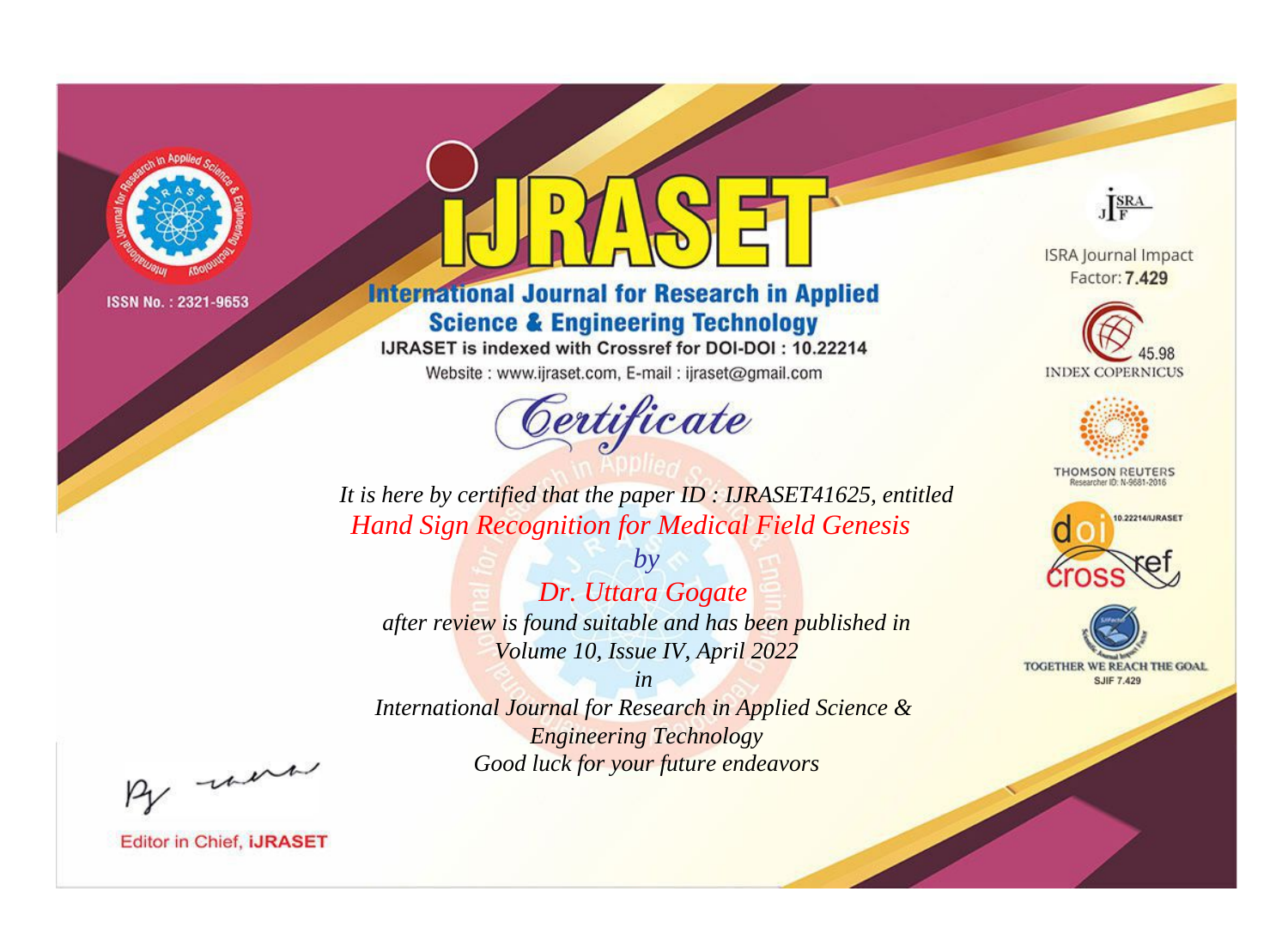

# **International Journal for Research in Applied Science & Engineering Technology**

IJRASET is indexed with Crossref for DOI-DOI: 10.22214

Website: www.ijraset.com, E-mail: ijraset@gmail.com



JERA

**ISRA Journal Impact** Factor: 7.429





**THOMSON REUTERS** 



TOGETHER WE REACH THE GOAL **SJIF 7.429** 

*It is here by certified that the paper ID : IJRASET41625, entitled Hand Sign Recognition for Medical Field Genesis*

*Dr. Uttara Gogate after review is found suitable and has been published in Volume 10, Issue IV, April 2022*

*by*

*in* 

*International Journal for Research in Applied Science & Engineering Technology Good luck for your future endeavors*

By morn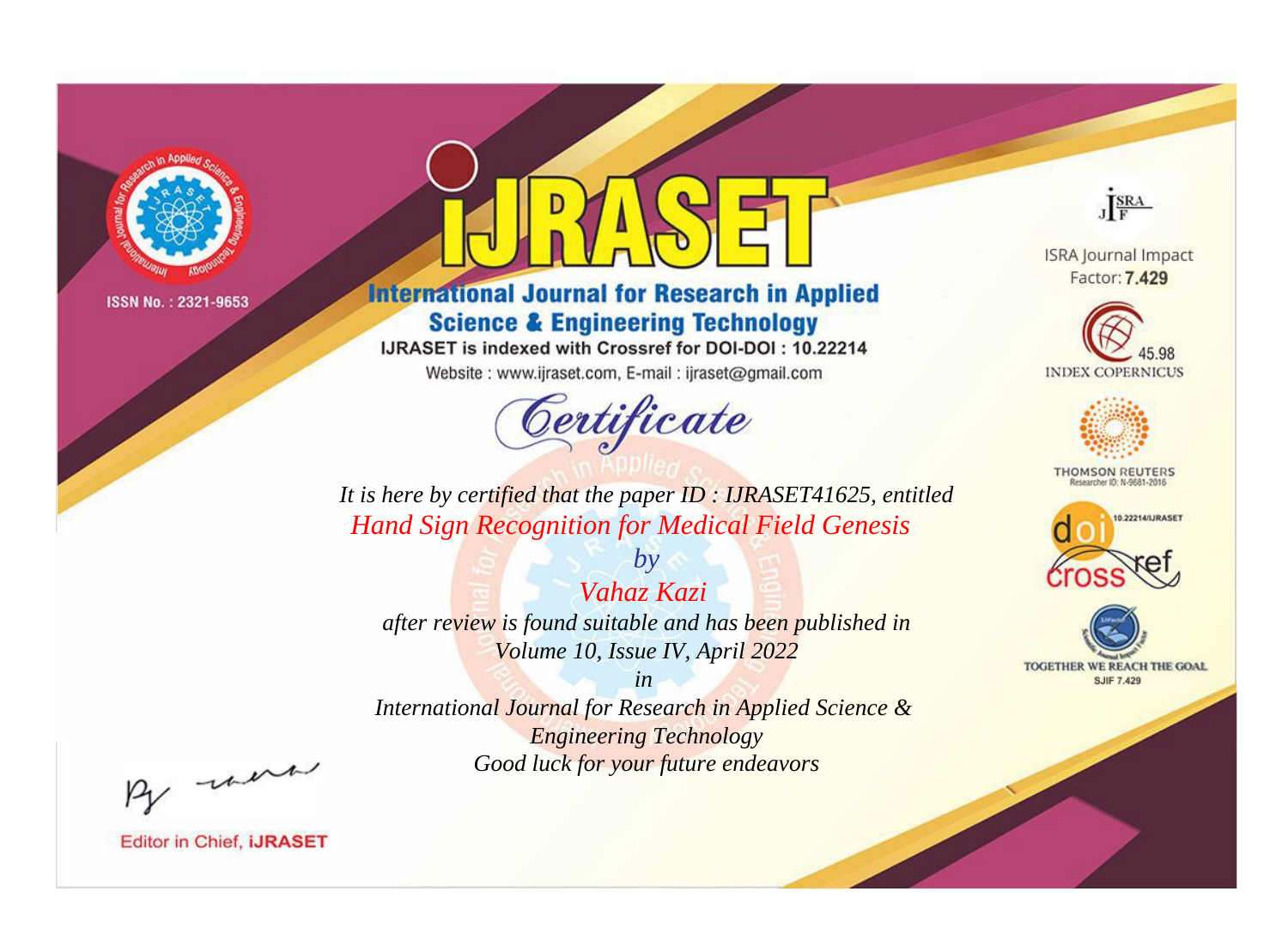

# **International Journal for Research in Applied Science & Engineering Technology**

IJRASET is indexed with Crossref for DOI-DOI: 10.22214

Website: www.ijraset.com, E-mail: ijraset@gmail.com



JERA

**ISRA Journal Impact** Factor: 7.429





**THOMSON REUTERS** 



TOGETHER WE REACH THE GOAL **SJIF 7.429** 

*It is here by certified that the paper ID : IJRASET41625, entitled Hand Sign Recognition for Medical Field Genesis*

*Vahaz Kazi after review is found suitable and has been published in Volume 10, Issue IV, April 2022*

*by*

*in* 

*International Journal for Research in Applied Science & Engineering Technology Good luck for your future endeavors*

By morn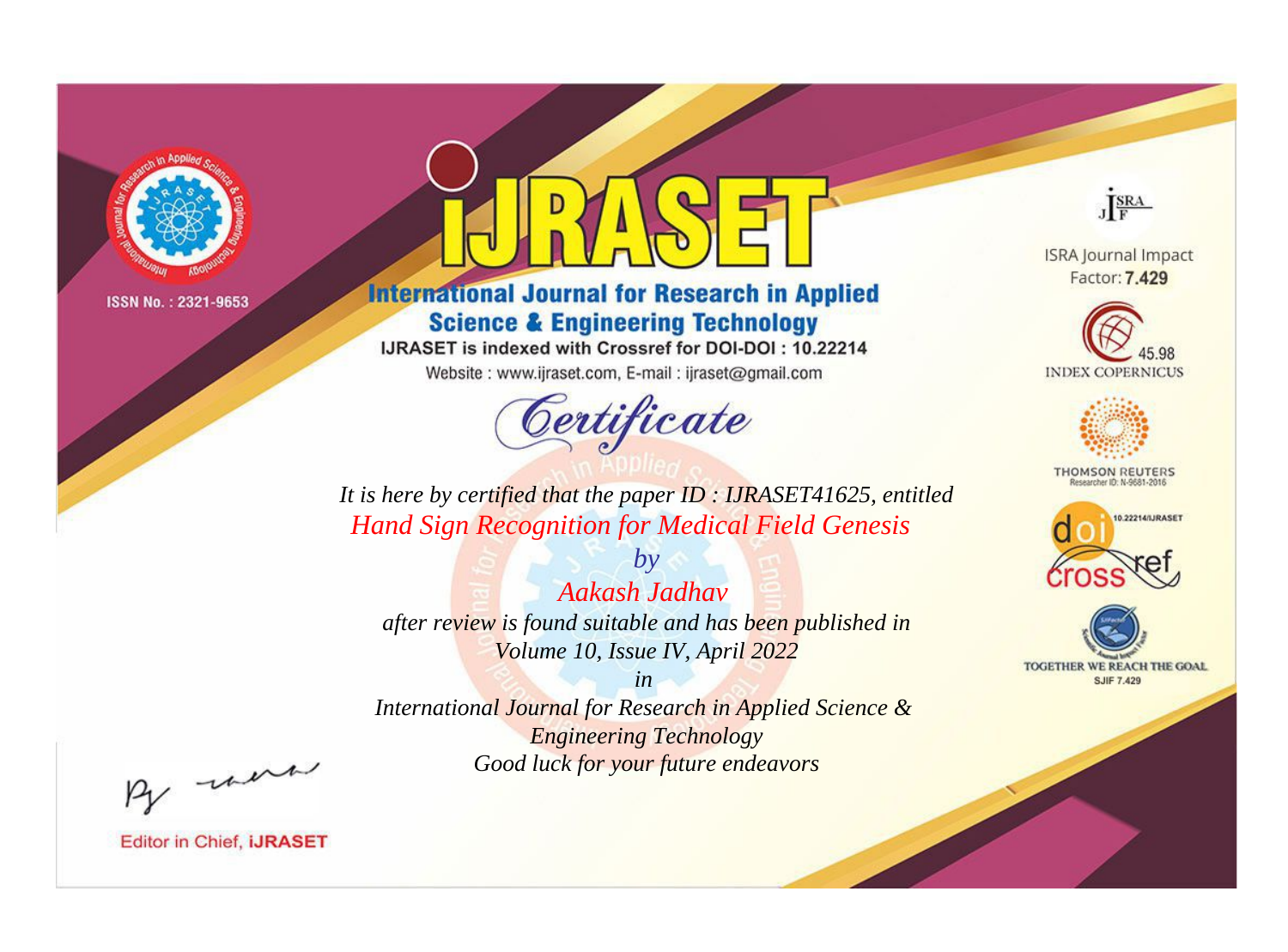

# **International Journal for Research in Applied Science & Engineering Technology**

IJRASET is indexed with Crossref for DOI-DOI: 10.22214

Website: www.ijraset.com, E-mail: ijraset@gmail.com



JERA

**ISRA Journal Impact** Factor: 7.429





**THOMSON REUTERS** 



TOGETHER WE REACH THE GOAL **SJIF 7.429** 

It is here by certified that the paper ID: IJRASET41625, entitled **Hand Sign Recognition for Medical Field Genesis** 

Aakash Jadhav after review is found suitable and has been published in Volume 10, Issue IV, April 2022

 $b\nu$ 

 $in$ International Journal for Research in Applied Science & **Engineering Technology** Good luck for your future endeavors

By morn